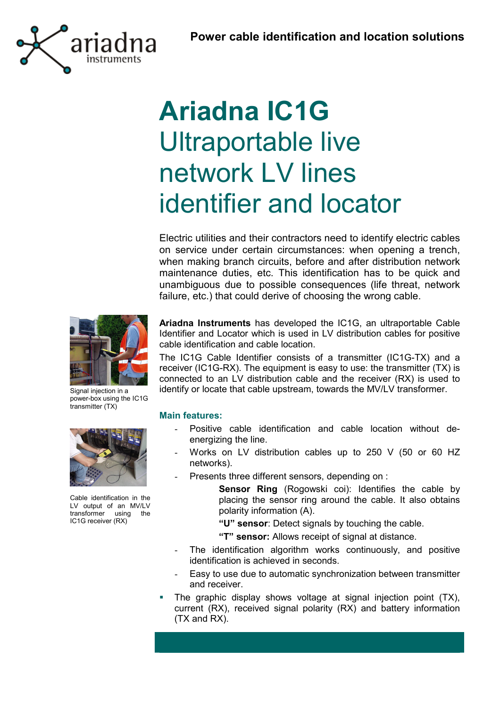

# **Ariadna IC1G** Ultraportable live network LV lines identifier and locator

Electric utilities and their contractors need to identify electric cables on service under certain circumstances: when opening a trench, when making branch circuits, before and after distribution network maintenance duties, etc. This identification has to be quick and unambiguous due to possible consequences (life threat, network failure, etc.) that could derive of choosing the wrong cable.

**Ariadna Instruments** has developed the IC1G, an ultraportable Cable Identifier and Locator which is used in LV distribution cables for positive cable identification and cable location.

The IC1G Cable Identifier consists of a transmitter (IC1G-TX) and a receiver (IC1G-RX). The equipment is easy to use: the transmitter (TX) is connected to an LV distribution cable and the receiver (RX) is used to identify or locate that cable upstream, towards the MV/LV transformer.

### **Main features:**

- Positive cable identification and cable location without deenergizing the line.
- Works on LV distribution cables up to 250 V (50 or 60 HZ networks).
- Presents three different sensors, depending on :

**Sensor Ring** (Rogowski coi): Identifies the cable by placing the sensor ring around the cable. It also obtains polarity information (A).

**ìUî sensor**: Detect signals by touching the cable.

**ìTî sensor:** Allows receipt of signal at distance.

- The identification algorithm works continuously, and positive identification is achieved in seconds.
- Easy to use due to automatic synchronization between transmitter and receiver.
- The graphic display shows voltage at signal injection point (TX), current (RX), received signal polarity (RX) and battery information (TX and RX).



Signal injection in a power-box using the IC1G transmitter (TX)



Cable identification in the LV output of an MV/LV transformer using the IC1G receiver (RX)